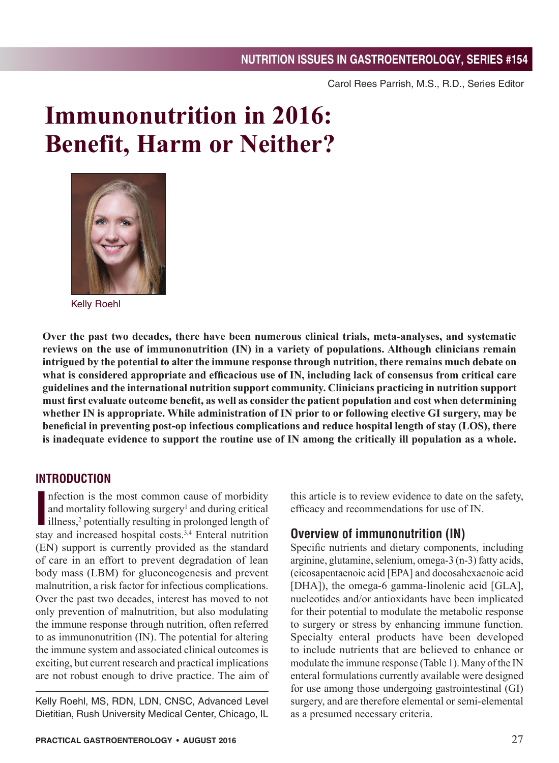Carol Rees Parrish, M.S., R.D., Series Editor

# **Immunonutrition in 2016: Benefit, Harm or Neither?**



Kelly Roehl

**Over the past two decades, there have been numerous clinical trials, meta-analyses, and systematic reviews on the use of immunonutrition (IN) in a variety of populations. Although clinicians remain intrigued by the potential to alter the immune response through nutrition, there remains much debate on what is considered appropriate and efficacious use of IN, including lack of consensus from critical care guidelines and the international nutrition support community. Clinicians practicing in nutrition support must first evaluate outcome benefit, as well as consider the patient population and cost when determining whether IN is appropriate. While administration of IN prior to or following elective GI surgery, may be beneficial in preventing post-op infectious complications and reduce hospital length of stay (LOS), there is inadequate evidence to support the routine use of IN among the critically ill population as a whole.** 

#### **INTRODUCTION**

Infection is the most common cause of morbidity<br>
and mortality following surgery<sup>1</sup> and during critical<br>
illness,<sup>2</sup> potentially resulting in prolonged length of<br>
stay and increased hospital costs.<sup>3,4</sup> Enteral nutrition nfection is the most common cause of morbidity and mortality following surgery<sup>1</sup> and during critical illness,<sup>2</sup> potentially resulting in prolonged length of (EN) support is currently provided as the standard of care in an effort to prevent degradation of lean body mass (LBM) for gluconeogenesis and prevent malnutrition, a risk factor for infectious complications. Over the past two decades, interest has moved to not only prevention of malnutrition, but also modulating the immune response through nutrition, often referred to as immunonutrition (IN). The potential for altering the immune system and associated clinical outcomes is exciting, but current research and practical implications are not robust enough to drive practice. The aim of

Kelly Roehl, MS, RDN, LDN, CNSC, Advanced Level Dietitian, Rush University Medical Center, Chicago, IL this article is to review evidence to date on the safety, efficacy and recommendations for use of IN.

## **Overview of immunonutrition (IN)**

Specific nutrients and dietary components, including arginine, glutamine, selenium, omega-3 (n-3) fatty acids, (eicosapentaenoic acid [EPA] and docosahexaenoic acid [DHA]), the omega-6 gamma-linolenic acid [GLA], nucleotides and/or antioxidants have been implicated for their potential to modulate the metabolic response to surgery or stress by enhancing immune function. Specialty enteral products have been developed to include nutrients that are believed to enhance or modulate the immune response (Table 1). Many of the IN enteral formulations currently available were designed for use among those undergoing gastrointestinal (GI) surgery, and are therefore elemental or semi-elemental as a presumed necessary criteria.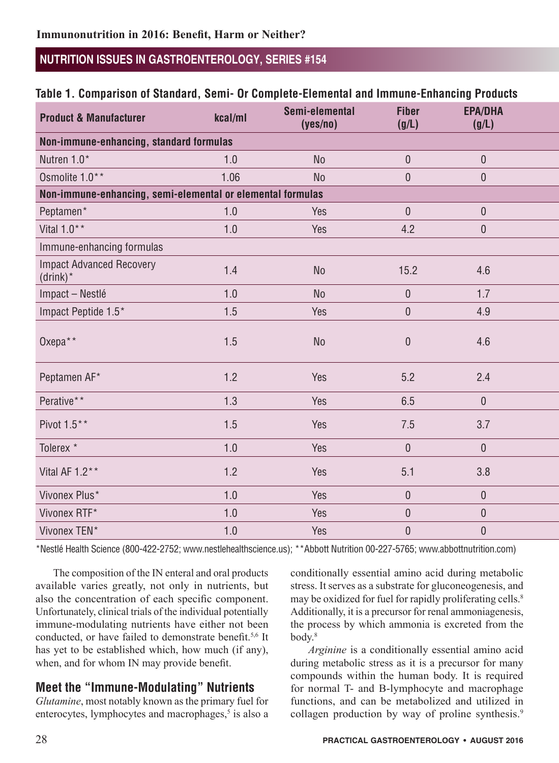#### Table 1. Comparison of Standard, Semi- Or Complete-Elemental and Immune-Enhancing Products

| <b>Product &amp; Manufacturer</b>                          | kcal/ml | Semi-elemental<br>(yes/no) | <b>Fiber</b><br>(g/L) | <b>EPA/DHA</b><br>(g/L) |  |
|------------------------------------------------------------|---------|----------------------------|-----------------------|-------------------------|--|
| Non-immune-enhancing, standard formulas                    |         |                            |                       |                         |  |
| Nutren 1.0*                                                | 1.0     | No                         | $\overline{0}$        | $\overline{0}$          |  |
| Osmolite 1.0**                                             | 1.06    | No                         | $\pmb{0}$             | $\overline{0}$          |  |
| Non-immune-enhancing, semi-elemental or elemental formulas |         |                            |                       |                         |  |
| Peptamen*                                                  | 1.0     | Yes                        | $\overline{0}$        | $\overline{0}$          |  |
| Vital $1.0**$                                              | $1.0$   | Yes                        | 4.2                   | $\overline{0}$          |  |
| Immune-enhancing formulas                                  |         |                            |                       |                         |  |
| <b>Impact Advanced Recovery</b><br>$(drink)^*$             | 1.4     | No                         | 15.2                  | 4.6                     |  |
| Impact - Nestlé                                            | $1.0$   | No                         | $\overline{0}$        | 1.7                     |  |
| Impact Peptide 1.5*                                        | 1.5     | Yes                        | $\pmb{0}$             | 4.9                     |  |
| Oxepa**                                                    | $1.5$   | No                         | $\pmb{0}$             | 4.6                     |  |
| Peptamen AF*                                               | $1.2$   | Yes                        | 5.2                   | 2.4                     |  |
| Perative**                                                 | 1.3     | Yes                        | 6.5                   | $\overline{0}$          |  |
| Pivot 1.5**                                                | $1.5$   | Yes                        | $7.5\,$               | 3.7                     |  |
| Tolerex *                                                  | 1.0     | Yes                        | $\overline{0}$        | $\overline{0}$          |  |
| Vital AF 1.2**                                             | $1.2$   | Yes                        | 5.1                   | 3.8                     |  |
| Vivonex Plus*                                              | 1.0     | Yes                        | $\overline{0}$        | $\overline{0}$          |  |
| Vivonex RTF*                                               | 1.0     | Yes                        | $\overline{0}$        | $\overline{0}$          |  |
| Vivonex TEN*                                               | $1.0$   | Yes                        | $\pmb{0}$             | $\pmb{0}$               |  |

\*Nestlé Health Science (800-422-2752; www.nestlehealthscience.us); \*\*Abbott Nutrition 00-227-5765; www.abbottnutrition.com)

The composition of the IN enteral and oral products available varies greatly, not only in nutrients, but also the concentration of each specific component. Unfortunately, clinical trials of the individual potentially immune-modulating nutrients have either not been conducted, or have failed to demonstrate benefit.<sup>5,6</sup> It has yet to be established which, how much (if any), when, and for whom IN may provide benefit.

## **Meet the "Immune-Modulating" Nutrients**

*Glutamine*, most notably known as the primary fuel for enterocytes, lymphocytes and macrophages,<sup>5</sup> is also a conditionally essential amino acid during metabolic stress. It serves as a substrate for gluconeogenesis, and may be oxidized for fuel for rapidly proliferating cells.<sup>8</sup> Additionally, it is a precursor for renal ammoniagenesis, the process by which ammonia is excreted from the body.8

*Arginine* is a conditionally essential amino acid during metabolic stress as it is a precursor for many compounds within the human body. It is required for normal T- and B-lymphocyte and macrophage functions, and can be metabolized and utilized in collagen production by way of proline synthesis.<sup>9</sup>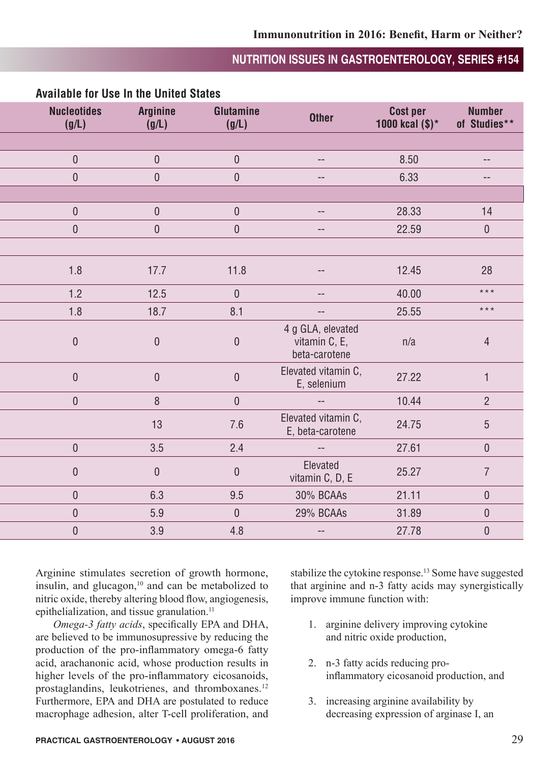| <b>Nucleotides</b><br>(g/L) | <b>Arginine</b><br>(g/L) | Glutamine<br>(g/L) | Other                                               | Cost per<br>1000 kcal $(\$)^*$ | <b>Number</b><br>of Studies** |
|-----------------------------|--------------------------|--------------------|-----------------------------------------------------|--------------------------------|-------------------------------|
|                             |                          |                    |                                                     |                                |                               |
| $\overline{0}$              | $\overline{0}$           | $\overline{0}$     | $\sim$ $\sim$                                       | 8.50                           | $--$                          |
| $\overline{0}$              | $\overline{0}$           | $\overline{0}$     | $\hspace{0.05cm} -\hspace{0.05cm} -\hspace{0.05cm}$ | 6.33                           | $\sim$                        |
|                             |                          |                    |                                                     |                                |                               |
| $\overline{0}$              | $\overline{0}$           | $\overline{0}$     | $\sim$                                              | 28.33                          | 14                            |
| $\mathbf 0$                 | $\boldsymbol{0}$         | $\mathbf 0$        | $\sim$                                              | 22.59                          | $\overline{0}$                |
|                             |                          |                    |                                                     |                                |                               |
| 1.8                         | 17.7                     | 11.8               | $- -$                                               | 12.45                          | 28                            |
| $1.2$                       | 12.5                     | $\mathbf 0$        | $\sim$                                              | 40.00                          | $\star\star\star$             |
| 1.8                         | 18.7                     | 8.1                | $\overline{\phantom{a}}$                            | 25.55                          | $***$                         |
| $\overline{0}$              | $\overline{0}$           | $\overline{0}$     | 4 g GLA, elevated<br>vitamin C, E,<br>beta-carotene | n/a                            | $\overline{4}$                |
| $\boldsymbol{0}$            | $\boldsymbol{0}$         | $\mathbf 0$        | Elevated vitamin C,<br>E, selenium                  | 27.22                          |                               |
| $\overline{0}$              | $8\phantom{.}$           | $\overline{0}$     | $\overline{\phantom{a}}$                            | 10.44                          | $2^{\circ}$                   |
|                             | 13                       | $7.6$              | Elevated vitamin C,<br>E, beta-carotene             | 24.75                          | $5\phantom{.0}$               |
| $\overline{0}$              | 3.5                      | 2.4                | $\overline{\phantom{a}}$                            | 27.61                          | $\overline{0}$                |
| $\overline{0}$              | $\overline{0}$           | $\boldsymbol{0}$   | Elevated<br>vitamin C, D, E                         | 25.27                          | $\overline{7}$                |
| $\mathbf 0$                 | 6.3                      | 9.5                | 30% BCAAs                                           | 21.11                          | $\overline{0}$                |
| $\mathbf 0$                 | 5.9                      | $\overline{0}$     | 29% BCAAs                                           | 31.89                          | $\overline{0}$                |
| $\mathbf 0$                 | 3.9                      | 4.8                | $\overline{\phantom{a}}$                            | 27.78                          | $\mathbf 0$                   |

#### **Available for Use In the United States**

Arginine stimulates secretion of growth hormone, insulin, and glucagon, $10$  and can be metabolized to nitric oxide, thereby altering blood flow, angiogenesis, epithelialization, and tissue granulation.<sup>11</sup>

*Omega-3 fatty acids*, specifically EPA and DHA, are believed to be immunosupressive by reducing the production of the pro-inflammatory omega-6 fatty acid, arachanonic acid, whose production results in higher levels of the pro-inflammatory eicosanoids, prostaglandins, leukotrienes, and thromboxanes.<sup>12</sup> Furthermore, EPA and DHA are postulated to reduce macrophage adhesion, alter T-cell proliferation, and stabilize the cytokine response.<sup>13</sup> Some have suggested that arginine and n-3 fatty acids may synergistically improve immune function with:

- 1. arginine delivery improving cytokine and nitric oxide production,
- 2. n-3 fatty acids reducing proinflammatory eicosanoid production, and
- 3. increasing arginine availability by decreasing expression of arginase I, an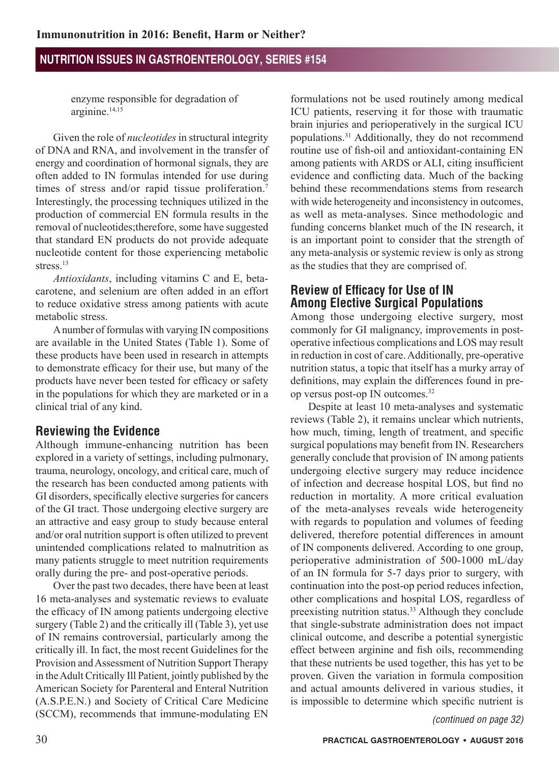enzyme responsible for degradation of arginine.14,15

Given the role of *nucleotides* in structural integrity of DNA and RNA, and involvement in the transfer of energy and coordination of hormonal signals, they are often added to IN formulas intended for use during times of stress and/or rapid tissue proliferation.<sup>7</sup> Interestingly, the processing techniques utilized in the production of commercial EN formula results in the removal of nucleotides;therefore, some have suggested that standard EN products do not provide adequate nucleotide content for those experiencing metabolic stress<sup>13</sup>

*Antioxidants*, including vitamins C and E, betacarotene, and selenium are often added in an effort to reduce oxidative stress among patients with acute metabolic stress.

A number of formulas with varying IN compositions are available in the United States (Table 1). Some of these products have been used in research in attempts to demonstrate efficacy for their use, but many of the products have never been tested for efficacy or safety in the populations for which they are marketed or in a clinical trial of any kind.

## **Reviewing the Evidence**

Although immune-enhancing nutrition has been explored in a variety of settings, including pulmonary, trauma, neurology, oncology, and critical care, much of the research has been conducted among patients with GI disorders, specifically elective surgeries for cancers of the GI tract. Those undergoing elective surgery are an attractive and easy group to study because enteral and/or oral nutrition support is often utilized to prevent unintended complications related to malnutrition as many patients struggle to meet nutrition requirements orally during the pre- and post-operative periods.

Over the past two decades, there have been at least 16 meta-analyses and systematic reviews to evaluate the efficacy of IN among patients undergoing elective surgery (Table 2) and the critically ill (Table 3), yet use of IN remains controversial, particularly among the critically ill. In fact, the most recent Guidelines for the Provision and Assessment of Nutrition Support Therapy in the Adult Critically Ill Patient, jointly published by the American Society for Parenteral and Enteral Nutrition (A.S.P.E.N.) and Society of Critical Care Medicine (SCCM), recommends that immune-modulating EN *(continued on page 32)*

formulations not be used routinely among medical ICU patients, reserving it for those with traumatic brain injuries and perioperatively in the surgical ICU populations.31 Additionally, they do not recommend routine use of fish-oil and antioxidant-containing EN among patients with ARDS or ALI, citing insufficient evidence and conflicting data. Much of the backing behind these recommendations stems from research with wide heterogeneity and inconsistency in outcomes, as well as meta-analyses. Since methodologic and funding concerns blanket much of the IN research, it is an important point to consider that the strength of any meta-analysis or systemic review is only as strong as the studies that they are comprised of.

## **Review of Efficacy for Use of IN Among Elective Surgical Populations**

Among those undergoing elective surgery, most commonly for GI malignancy, improvements in postoperative infectious complications and LOS may result in reduction in cost of care. Additionally, pre-operative nutrition status, a topic that itself has a murky array of definitions, may explain the differences found in preop versus post-op IN outcomes.32

Despite at least 10 meta-analyses and systematic reviews (Table 2), it remains unclear which nutrients, how much, timing, length of treatment, and specific surgical populations may benefit from IN. Researchers generally conclude that provision of IN among patients undergoing elective surgery may reduce incidence of infection and decrease hospital LOS, but find no reduction in mortality. A more critical evaluation of the meta-analyses reveals wide heterogeneity with regards to population and volumes of feeding delivered, therefore potential differences in amount of IN components delivered. According to one group, perioperative administration of 500-1000 mL/day of an IN formula for 5-7 days prior to surgery, with continuation into the post-op period reduces infection, other complications and hospital LOS, regardless of preexisting nutrition status.33 Although they conclude that single-substrate administration does not impact clinical outcome, and describe a potential synergistic effect between arginine and fish oils, recommending that these nutrients be used together, this has yet to be proven. Given the variation in formula composition and actual amounts delivered in various studies, it is impossible to determine which specific nutrient is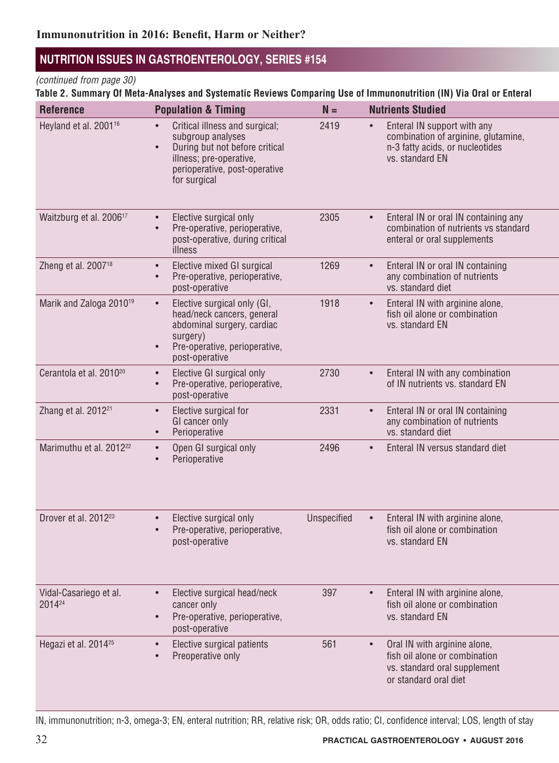#### *(continued from page 30)*

Table 2. Summary Of Meta-Analyses and Systematic Reviews Comparing Use of Immunonutrition (IN) Via Oral or Enteral

| <b>Reference</b>                    | <b>Population &amp; Timing</b>                                                                                                                                                 | $N =$       | <b>Nutrients Studied</b>                                                                                                            |
|-------------------------------------|--------------------------------------------------------------------------------------------------------------------------------------------------------------------------------|-------------|-------------------------------------------------------------------------------------------------------------------------------------|
| Heyland et al. 2001 <sup>16</sup>   | Critical illness and surgical;<br>$\bullet$<br>subgroup analyses<br>During but not before critical<br>illness; pre-operative,<br>perioperative, post-operative<br>for surgical | 2419        | Enteral IN support with any<br>combination of arginine, glutamine,<br>n-3 fatty acids, or nucleotides<br>vs. standard EN            |
| Waitzburg et al. 2006 <sup>17</sup> | Elective surgical only<br>Pre-operative, perioperative,<br>post-operative, during critical<br>illness                                                                          | 2305        | Enteral IN or oral IN containing any<br>combination of nutrients vs standard<br>enteral or oral supplements                         |
| Zheng et al. 2007 <sup>18</sup>     | Elective mixed GI surgical<br>Pre-operative, perioperative,<br>post-operative                                                                                                  | 1269        | Enteral IN or oral IN containing<br>any combination of nutrients<br>vs. standard diet                                               |
| Marik and Zaloga 2010 <sup>19</sup> | Elective surgical only (GI,<br>$\bullet$<br>head/neck cancers, general<br>abdominal surgery, cardiac<br>surgery)<br>Pre-operative, perioperative,<br>post-operative            | 1918        | Enteral IN with arginine alone,<br>$\bullet$<br>fish oil alone or combination<br>vs. standard EN                                    |
| Cerantola et al. 2010 <sup>20</sup> | Elective GI surgical only<br>$\bullet$<br>Pre-operative, perioperative,<br>post-operative                                                                                      | 2730        | Enteral IN with any combination<br>$\bullet$<br>of IN nutrients vs. standard EN                                                     |
| Zhang et al. 2012 <sup>21</sup>     | Elective surgical for<br>GI cancer only<br>Perioperative<br>$\bullet$                                                                                                          | 2331        | Enteral IN or oral IN containing<br>any combination of nutrients<br>vs. standard diet                                               |
| Marimuthu et al. 2012 <sup>22</sup> | Open GI surgical only<br>$\bullet$<br>Perioperative<br>$\bullet$                                                                                                               | 2496        | Enteral IN versus standard diet<br>$\bullet$                                                                                        |
| Drover et al. 2012 <sup>23</sup>    | Elective surgical only<br>Pre-operative, perioperative,<br>post-operative                                                                                                      | Unspecified | Enteral IN with arginine alone,<br>fish oil alone or combination<br>vs. standard EN                                                 |
| Vidal-Casariego et al.<br>201424    | Elective surgical head/neck<br>$\bullet$<br>cancer only<br>Pre-operative, perioperative,<br>post-operative                                                                     | 397         | Enteral IN with arginine alone,<br>$\bullet$<br>fish oil alone or combination<br>vs. standard EN                                    |
| Hegazi et al. 2014 <sup>25</sup>    | Elective surgical patients<br>Preoperative only                                                                                                                                | 561         | Oral IN with arginine alone,<br>$\bullet$<br>fish oil alone or combination<br>vs. standard oral supplement<br>or standard oral diet |

IN, immunonutrition; n-3, omega-3; EN, enteral nutrition; RR, relative risk; OR, odds ratio; CI, confidence interval; LOS, length of stay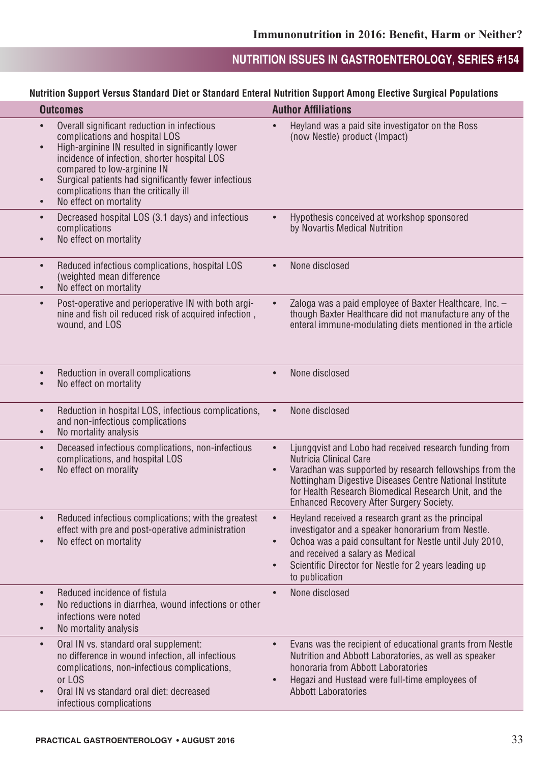#### Nutrition Support Versus Standard Diet or Standard Enteral Nutrition Support Among Elective Surgical Populations

|           | <b>Outcomes</b>                                                                                                                                                                                                                                                                                                                                                       | <b>Author Affiliations</b>                                                                                                                                                                                                                                                                                         |
|-----------|-----------------------------------------------------------------------------------------------------------------------------------------------------------------------------------------------------------------------------------------------------------------------------------------------------------------------------------------------------------------------|--------------------------------------------------------------------------------------------------------------------------------------------------------------------------------------------------------------------------------------------------------------------------------------------------------------------|
|           | Overall significant reduction in infectious<br>complications and hospital LOS<br>High-arginine IN resulted in significantly lower<br>$\bullet$<br>incidence of infection, shorter hospital LOS<br>compared to low-arginine IN<br>Surgical patients had significantly fewer infectious<br>complications than the critically ill<br>No effect on mortality<br>$\bullet$ | • Heyland was a paid site investigator on the Ross<br>(now Nestle) product (Impact)                                                                                                                                                                                                                                |
|           | Decreased hospital LOS (3.1 days) and infectious<br>complications<br>No effect on mortality                                                                                                                                                                                                                                                                           | Hypothesis conceived at workshop sponsored<br>by Novartis Medical Nutrition                                                                                                                                                                                                                                        |
| $\bullet$ | Reduced infectious complications, hospital LOS<br>(weighted mean difference<br>No effect on mortality<br>$\bullet$                                                                                                                                                                                                                                                    | • None disclosed                                                                                                                                                                                                                                                                                                   |
|           | Post-operative and perioperative IN with both argi-<br>nine and fish oil reduced risk of acquired infection,<br>wound, and LOS                                                                                                                                                                                                                                        | Zaloga was a paid employee of Baxter Healthcare, Inc. -<br>though Baxter Healthcare did not manufacture any of the<br>enteral immune-modulating diets mentioned in the article                                                                                                                                     |
|           | Reduction in overall complications<br>No effect on mortality                                                                                                                                                                                                                                                                                                          | • None disclosed                                                                                                                                                                                                                                                                                                   |
|           | Reduction in hospital LOS, infectious complications,<br>and non-infectious complications<br>No mortality analysis<br>$\bullet$                                                                                                                                                                                                                                        | None disclosed                                                                                                                                                                                                                                                                                                     |
|           | Deceased infectious complications, non-infectious<br>complications, and hospital LOS<br>No effect on morality                                                                                                                                                                                                                                                         | Ljungqvist and Lobo had received research funding from<br><b>Nutricia Clinical Care</b><br>Varadhan was supported by research fellowships from the<br>Nottingham Digestive Diseases Centre National Institute<br>for Health Research Biomedical Research Unit, and the<br>Enhanced Recovery After Surgery Society. |
|           | Reduced infectious complications; with the greatest<br>effect with pre and post-operative administration<br>No effect on mortality                                                                                                                                                                                                                                    | Heyland received a research grant as the principal<br>investigator and a speaker honorarium from Nestle.<br>Ochoa was a paid consultant for Nestle until July 2010,<br>and received a salary as Medical<br>Scientific Director for Nestle for 2 years leading up<br>to publication                                 |
|           | Reduced incidence of fistula<br>No reductions in diarrhea, wound infections or other<br>infections were noted<br>No mortality analysis<br>$\bullet$                                                                                                                                                                                                                   | • None disclosed                                                                                                                                                                                                                                                                                                   |
|           | Oral IN vs. standard oral supplement:<br>no difference in wound infection, all infectious<br>complications, non-infectious complications,<br>or LOS<br>Oral IN vs standard oral diet: decreased<br>$\bullet$<br>infectious complications                                                                                                                              | Evans was the recipient of educational grants from Nestle<br>Nutrition and Abbott Laboratories, as well as speaker<br>honoraria from Abbott Laboratories<br>Hegazi and Hustead were full-time employees of<br><b>Abbott Laboratories</b>                                                                           |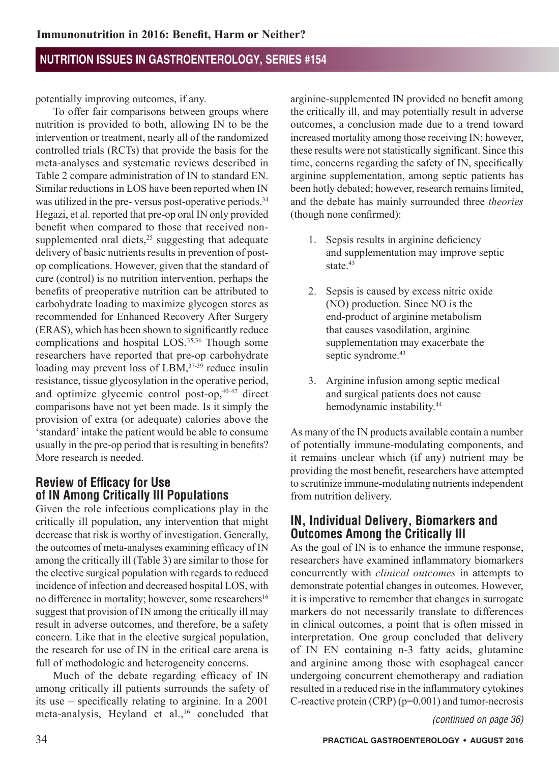potentially improving outcomes, if any.

To offer fair comparisons between groups where nutrition is provided to both, allowing IN to be the intervention or treatment, nearly all of the randomized controlled trials (RCTs) that provide the basis for the meta-analyses and systematic reviews described in Table 2 compare administration of IN to standard EN. Similar reductions in LOS have been reported when IN was utilized in the pre- versus post-operative periods.<sup>34</sup> Hegazi, et al. reported that pre-op oral IN only provided benefit when compared to those that received nonsupplemented oral diets,<sup>25</sup> suggesting that adequate delivery of basic nutrients results in prevention of postop complications. However, given that the standard of care (control) is no nutrition intervention, perhaps the benefits of preoperative nutrition can be attributed to carbohydrate loading to maximize glycogen stores as recommended for Enhanced Recovery After Surgery (ERAS), which has been shown to significantly reduce complications and hospital LOS.<sup>35,36</sup> Though some researchers have reported that pre-op carbohydrate loading may prevent loss of LBM,<sup>37-39</sup> reduce insulin resistance, tissue glycosylation in the operative period, and optimize glycemic control post-op,40-42 direct comparisons have not yet been made. Is it simply the provision of extra (or adequate) calories above the 'standard' intake the patient would be able to consume usually in the pre-op period that is resulting in benefits? More research is needed.

## **Review of Efficacy for Use of IN Among Critically Ill Populations**

Given the role infectious complications play in the critically ill population, any intervention that might decrease that risk is worthy of investigation. Generally, the outcomes of meta-analyses examining efficacy of IN among the critically ill (Table 3) are similar to those for the elective surgical population with regards to reduced incidence of infection and decreased hospital LOS, with no difference in mortality; however, some researchers<sup>16</sup> suggest that provision of IN among the critically ill may result in adverse outcomes, and therefore, be a safety concern. Like that in the elective surgical population, the research for use of IN in the critical care arena is full of methodologic and heterogeneity concerns.

Much of the debate regarding efficacy of IN among critically ill patients surrounds the safety of its use – specifically relating to arginine. In a 2001 meta-analysis, Heyland et al.,<sup>16</sup> concluded that

arginine-supplemented IN provided no benefit among the critically ill, and may potentially result in adverse outcomes, a conclusion made due to a trend toward increased mortality among those receiving IN; however, these results were not statistically significant. Since this time, concerns regarding the safety of IN, specifically arginine supplementation, among septic patients has been hotly debated; however, research remains limited, and the debate has mainly surrounded three *theories* (though none confirmed):

- 1. Sepsis results in arginine deficiency and supplementation may improve septic state  $43$
- 2. Sepsis is caused by excess nitric oxide (NO) production. Since NO is the end-product of arginine metabolism that causes vasodilation, arginine supplementation may exacerbate the septic syndrome.<sup>43</sup>
- 3. Arginine infusion among septic medical and surgical patients does not cause hemodynamic instability.44

As many of the IN products available contain a number of potentially immune-modulating components, and it remains unclear which (if any) nutrient may be providing the most benefit, researchers have attempted to scrutinize immune-modulating nutrients independent from nutrition delivery.

#### **IN, Individual Delivery, Biomarkers and Outcomes Among the Critically Ill**

As the goal of IN is to enhance the immune response, researchers have examined inflammatory biomarkers concurrently with *clinical outcomes* in attempts to demonstrate potential changes in outcomes. However, it is imperative to remember that changes in surrogate markers do not necessarily translate to differences in clinical outcomes, a point that is often missed in interpretation. One group concluded that delivery of IN EN containing n-3 fatty acids, glutamine and arginine among those with esophageal cancer undergoing concurrent chemotherapy and radiation resulted in a reduced rise in the inflammatory cytokines C-reactive protein (CRP) (p=0.001) and tumor-necrosis

*(continued on page 36)*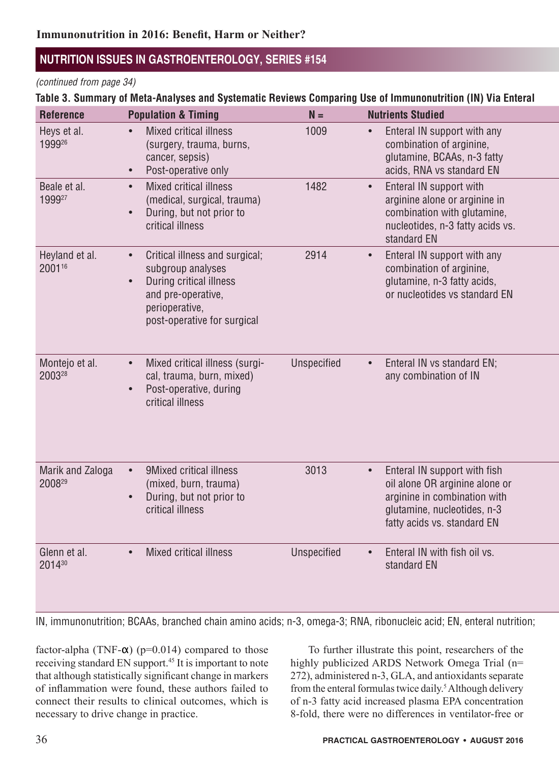#### *(continued from page 34)*

#### Table 3. Summary of Meta-Analyses and Systematic Reviews Comparing Use of Immunonutrition (IN) Via Enteral

| <b>Reference</b>           | <b>Population &amp; Timing</b>                                                                                                                                     | $N =$              | <b>Nutrients Studied</b>                                                                                                                                     |
|----------------------------|--------------------------------------------------------------------------------------------------------------------------------------------------------------------|--------------------|--------------------------------------------------------------------------------------------------------------------------------------------------------------|
| Heys et al.<br>199926      | <b>Mixed critical illness</b><br>(surgery, trauma, burns,<br>cancer, sepsis)<br>Post-operative only                                                                | 1009               | Enteral IN support with any<br>combination of arginine,<br>glutamine, BCAAs, n-3 fatty<br>acids, RNA vs standard EN                                          |
| Beale et al.<br>199927     | <b>Mixed critical illness</b><br>(medical, surgical, trauma)<br>During, but not prior to<br>critical illness                                                       | 1482               | Enteral IN support with<br>arginine alone or arginine in<br>combination with glutamine,<br>nucleotides, n-3 fatty acids vs.<br>standard EN                   |
| Heyland et al.<br>200116   | Critical illness and surgical;<br>$\bullet$<br>subgroup analyses<br>During critical illness<br>and pre-operative,<br>perioperative,<br>post-operative for surgical | 2914               | Enteral IN support with any<br>combination of arginine,<br>glutamine, n-3 fatty acids,<br>or nucleotides vs standard EN                                      |
| Montejo et al.<br>200328   | Mixed critical illness (surgi-<br>cal, trauma, burn, mixed)<br>Post-operative, during<br>critical illness                                                          | Unspecified        | Enteral IN vs standard EN;<br>any combination of IN                                                                                                          |
| Marik and Zaloga<br>200829 | 9Mixed critical illness<br>$\bullet$<br>(mixed, burn, trauma)<br>During, but not prior to<br>critical illness                                                      | 3013               | Enteral IN support with fish<br>oil alone OR arginine alone or<br>arginine in combination with<br>glutamine, nucleotides, n-3<br>fatty acids vs. standard EN |
| Glenn et al.<br>201430     | Mixed critical illness<br>$\bullet$                                                                                                                                | <b>Unspecified</b> | Enteral IN with fish oil vs.<br>standard EN                                                                                                                  |

IN, immunonutrition; BCAAs, branched chain amino acids; n-3, omega-3; RNA, ribonucleic acid; EN, enteral nutrition;

factor-alpha (TNF- $\alpha$ ) (p=0.014) compared to those receiving standard EN support.<sup>45</sup> It is important to note that although statistically significant change in markers of inflammation were found, these authors failed to connect their results to clinical outcomes, which is necessary to drive change in practice.

To further illustrate this point, researchers of the highly publicized ARDS Network Omega Trial (n= 272), administered n-3, GLA, and antioxidants separate from the enteral formulas twice daily.<sup>5</sup> Although delivery of n-3 fatty acid increased plasma EPA concentration 8-fold, there were no differences in ventilator-free or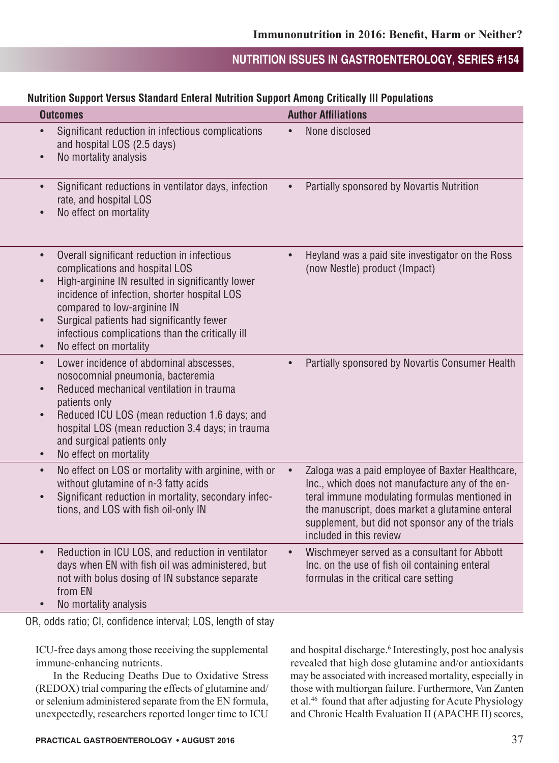#### **Nutrition Sunnort Versus Standard Enteral Nutrition Sunnort Among Critically III Populations**

|                                                  | naunion oapport voroas otanaara Entoral Naunion oapport Among Orthodiff in Fopalations                                                                                                                                                                                                                                                      |                                                                                                                                                                                                                                                                                         |
|--------------------------------------------------|---------------------------------------------------------------------------------------------------------------------------------------------------------------------------------------------------------------------------------------------------------------------------------------------------------------------------------------------|-----------------------------------------------------------------------------------------------------------------------------------------------------------------------------------------------------------------------------------------------------------------------------------------|
|                                                  | <b>Outcomes</b>                                                                                                                                                                                                                                                                                                                             | <b>Author Affiliations</b>                                                                                                                                                                                                                                                              |
| $\bullet$                                        | • Significant reduction in infectious complications<br>and hospital LOS (2.5 days)<br>No mortality analysis                                                                                                                                                                                                                                 | • None disclosed                                                                                                                                                                                                                                                                        |
| $\bullet$                                        | Significant reductions in ventilator days, infection<br>rate, and hospital LOS<br>No effect on mortality                                                                                                                                                                                                                                    | Partially sponsored by Novartis Nutrition<br>$\bullet$                                                                                                                                                                                                                                  |
| $\bullet$<br>$\bullet$<br>$\bullet$<br>$\bullet$ | Overall significant reduction in infectious<br>complications and hospital LOS<br>High-arginine IN resulted in significantly lower<br>incidence of infection, shorter hospital LOS<br>compared to low-arginine IN<br>Surgical patients had significantly fewer<br>infectious complications than the critically ill<br>No effect on mortality | Heyland was a paid site investigator on the Ross<br>(now Nestle) product (Impact)                                                                                                                                                                                                       |
| $\bullet$<br>$\bullet$<br>$\bullet$              | Lower incidence of abdominal abscesses,<br>nosocomnial pneumonia, bacteremia<br>Reduced mechanical ventilation in trauma<br>patients only<br>Reduced ICU LOS (mean reduction 1.6 days; and<br>hospital LOS (mean reduction 3.4 days; in trauma<br>and surgical patients only<br>No effect on mortality                                      | • Partially sponsored by Novartis Consumer Health                                                                                                                                                                                                                                       |
| $\bullet$                                        | No effect on LOS or mortality with arginine, with or<br>without glutamine of n-3 fatty acids<br>Significant reduction in mortality, secondary infec-<br>tions, and LOS with fish oil-only IN                                                                                                                                                | Zaloga was a paid employee of Baxter Healthcare,<br>Inc., which does not manufacture any of the en-<br>teral immune modulating formulas mentioned in<br>the manuscript, does market a glutamine enteral<br>supplement, but did not sponsor any of the trials<br>included in this review |
| $\bullet$<br>$\bullet$                           | Reduction in ICU LOS, and reduction in ventilator<br>days when EN with fish oil was administered, but<br>not with bolus dosing of IN substance separate<br>from EN<br>No mortality analysis                                                                                                                                                 | Wischmeyer served as a consultant for Abbott<br>Inc. on the use of fish oil containing enteral<br>formulas in the critical care setting                                                                                                                                                 |

OR, odds ratio; CI, confidence interval; LOS, length of stay

ICU-free days among those receiving the supplemental immune-enhancing nutrients.

In the Reducing Deaths Due to Oxidative Stress (REDOX) trial comparing the effects of glutamine and/ or selenium administered separate from the EN formula, unexpectedly, researchers reported longer time to ICU

and hospital discharge.<sup>6</sup> Interestingly, post hoc analysis revealed that high dose glutamine and/or antioxidants may be associated with increased mortality, especially in those with multiorgan failure. Furthermore, Van Zanten et al.46 found that after adjusting for Acute Physiology and Chronic Health Evaluation II (APACHE II) scores,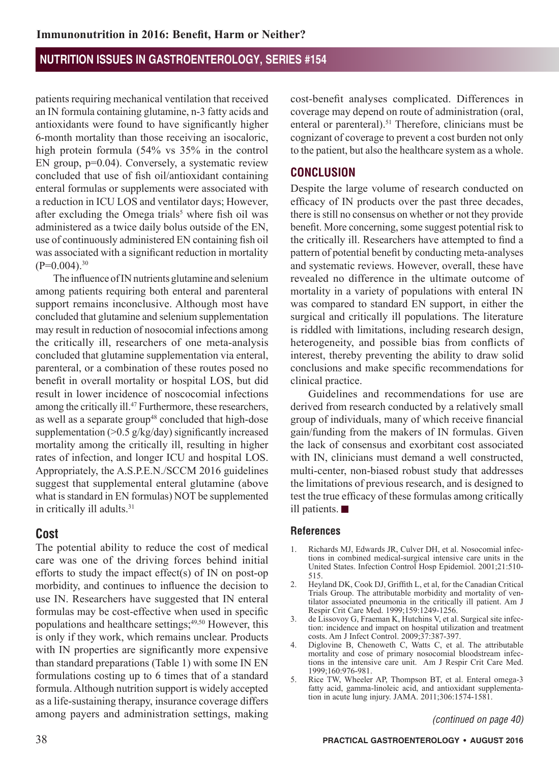patients requiring mechanical ventilation that received an IN formula containing glutamine, n-3 fatty acids and antioxidants were found to have significantly higher 6-month mortality than those receiving an isocaloric, high protein formula (54% vs 35% in the control EN group, p=0.04). Conversely, a systematic review concluded that use of fish oil/antioxidant containing enteral formulas or supplements were associated with a reduction in ICU LOS and ventilator days; However, after excluding the Omega trials<sup>5</sup> where fish oil was administered as a twice daily bolus outside of the EN, use of continuously administered EN containing fish oil was associated with a significant reduction in mortality  $(P=0.004)$ <sup>30</sup>

The influence of IN nutrients glutamine and selenium among patients requiring both enteral and parenteral support remains inconclusive. Although most have concluded that glutamine and selenium supplementation may result in reduction of nosocomial infections among the critically ill, researchers of one meta-analysis concluded that glutamine supplementation via enteral, parenteral, or a combination of these routes posed no benefit in overall mortality or hospital LOS, but did result in lower incidence of noscocomial infections among the critically ill.<sup>47</sup> Furthermore, these researchers, as well as a separate group<sup>48</sup> concluded that high-dose supplementation (>0.5 g/kg/day) significantly increased mortality among the critically ill, resulting in higher rates of infection, and longer ICU and hospital LOS. Appropriately, the A.S.P.E.N./SCCM 2016 guidelines suggest that supplemental enteral glutamine (above what is standard in EN formulas) NOT be supplemented in critically ill adults.<sup>31</sup>

## **Cost**

The potential ability to reduce the cost of medical care was one of the driving forces behind initial efforts to study the impact effect(s) of IN on post-op morbidity, and continues to influence the decision to use IN. Researchers have suggested that IN enteral formulas may be cost-effective when used in specific populations and healthcare settings;<sup>49,50</sup> However, this is only if they work, which remains unclear. Products with IN properties are significantly more expensive than standard preparations (Table 1) with some IN EN formulations costing up to 6 times that of a standard formula. Although nutrition support is widely accepted as a life-sustaining therapy, insurance coverage differs among payers and administration settings, making cost-benefit analyses complicated. Differences in coverage may depend on route of administration (oral, enteral or parenteral).<sup>51</sup> Therefore, clinicians must be cognizant of coverage to prevent a cost burden not only to the patient, but also the healthcare system as a whole.

### **CONCLUSION**

Despite the large volume of research conducted on efficacy of IN products over the past three decades, there is still no consensus on whether or not they provide benefit. More concerning, some suggest potential risk to the critically ill. Researchers have attempted to find a pattern of potential benefit by conducting meta-analyses and systematic reviews. However, overall, these have revealed no difference in the ultimate outcome of mortality in a variety of populations with enteral IN was compared to standard EN support, in either the surgical and critically ill populations. The literature is riddled with limitations, including research design, heterogeneity, and possible bias from conflicts of interest, thereby preventing the ability to draw solid conclusions and make specific recommendations for clinical practice.

Guidelines and recommendations for use are derived from research conducted by a relatively small group of individuals, many of which receive financial gain/funding from the makers of IN formulas. Given the lack of consensus and exorbitant cost associated with IN, clinicians must demand a well constructed, multi-center, non-biased robust study that addresses the limitations of previous research, and is designed to test the true efficacy of these formulas among critically ill patients.

#### **References**

- 1. Richards MJ, Edwards JR, Culver DH, et al. Nosocomial infections in combined medical-surgical intensive care units in the United States. Infection Control Hosp Epidemiol. 2001;21:510- 515.
- 2. Heyland DK, Cook DJ, Griffith L, et al, for the Canadian Critical Trials Group. The attributable morbidity and mortality of ventilator associated pneumonia in the critically ill patient. Am J Respir Crit Care Med. 1999;159:1249-1256.
- 3. de Lissovoy G, Fraeman K, Hutchins V, et al. Surgical site infection: incidence and impact on hospital utilization and treatment costs. Am J Infect Control. 2009;37:387-397.
- 4. Diglovine B, Chenoweth C, Watts C, et al. The attributable mortality and cose of primary nosocomial bloodstream infections in the intensive care unit. Am J Respir Crit Care Med. 1999;160:976-981.
- 5. Rice TW, Wheeler AP, Thompson BT, et al. Enteral omega-3 fatty acid, gamma-linoleic acid, and antioxidant supplementation in acute lung injury. JAMA. 2011;306:1574-1581.

*(continued on page 40)*